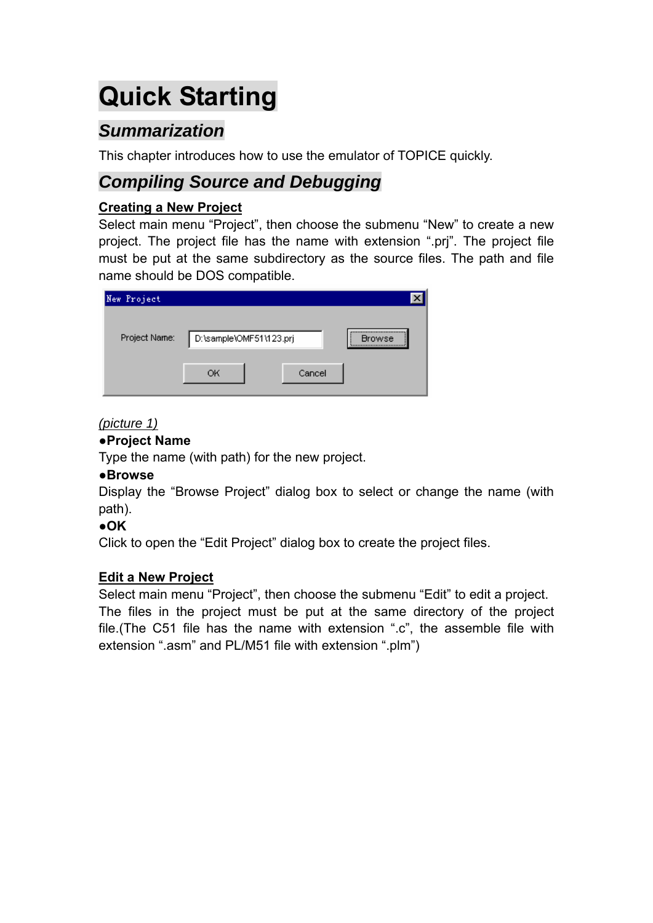# **Quick Starting**

# *Summarization*

This chapter introduces how to use the emulator of TOPICE quickly.

# *Compiling Source and Debugging*

### **Creating a New Project**

Select main menu "Project", then choose the submenu "New" to create a new project. The project file has the name with extension ".prj". The project file must be put at the same subdirectory as the source files. The path and file name should be DOS compatible.

| New Project   |                         |        |                   |
|---------------|-------------------------|--------|-------------------|
| Project Name: | D:\sample\OMF51\123.prj |        | <br><b>Browse</b> |
|               | OК                      | Cancel |                   |

### *(picture 1)*

### **●Project Name**

Type the name (with path) for the new project.

### ●**Browse**

Display the "Browse Project" dialog box to select or change the name (with path).

### **●OK**

Click to open the "Edit Project" dialog box to create the project files.

### **Edit a New Project**

Select main menu "Project", then choose the submenu "Edit" to edit a project. The files in the project must be put at the same directory of the project file.(The C51 file has the name with extension ".c", the assemble file with extension ".asm" and PL/M51 file with extension ".plm")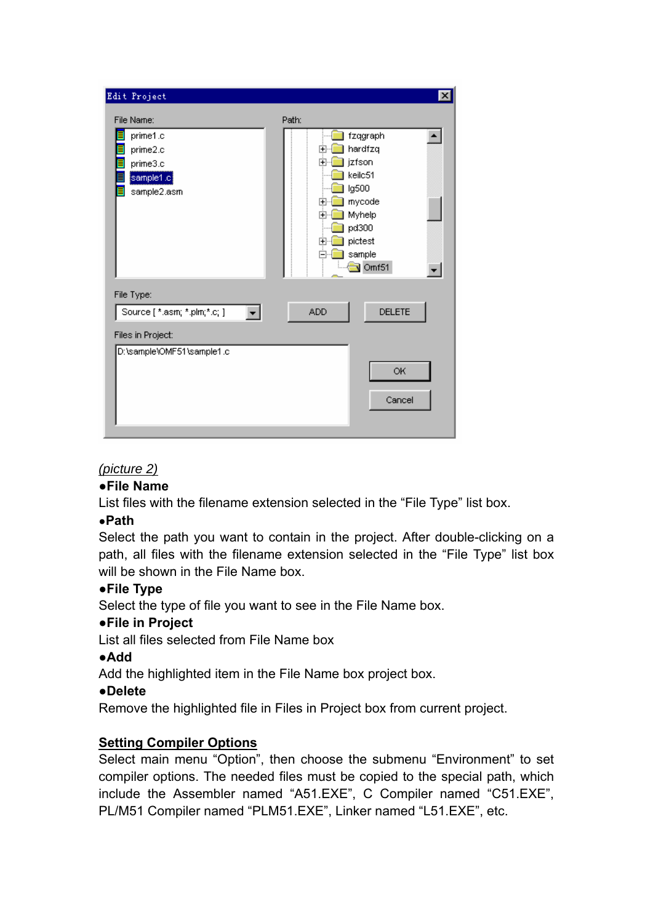| Edit Project                                                                   | $\vert x \vert$                                                                                                                                                                                                              |
|--------------------------------------------------------------------------------|------------------------------------------------------------------------------------------------------------------------------------------------------------------------------------------------------------------------------|
| File Name:                                                                     | Path:                                                                                                                                                                                                                        |
| prime1.c<br>prime2.c<br>prime3.c<br>$[\texttt{sample1.c}]$<br>sample2.asm      | fzqgraph<br>hardfzq<br>$\overline{+}$<br>jzfson<br>$\overline{+}$<br>keilc51<br>lg500<br>mycode<br>$\overline{+}$<br>Myhelp<br>$\overline{+}$<br>pd300<br>pictest<br>$\overline{+}$<br>sample<br>⊟<br>— <mark>ो Omf51</mark> |
| File Type:                                                                     | <b>DELETE</b><br>ADD.                                                                                                                                                                                                        |
| Source [ *.asm; *.plm;*.c; ]<br>Files in Project:<br>D:\sample\OMF51\sample1.c | OK<br>Cancel                                                                                                                                                                                                                 |

### *(picture 2)*

#### ●**File Name**

List files with the filename extension selected in the "File Type" list box.

#### ●**Path**

Select the path you want to contain in the project. After double-clicking on a path, all files with the filename extension selected in the "File Type" list box will be shown in the File Name box.

### **●File Type**

Select the type of file you want to see in the File Name box.

### **●File in Project**

List all files selected from File Name box

### **●Add**

Add the highlighted item in the File Name box project box.

### **●Delete**

Remove the highlighted file in Files in Project box from current project.

### **Setting Compiler Options**

Select main menu "Option", then choose the submenu "Environment" to set compiler options. The needed files must be copied to the special path, which include the Assembler named "A51.EXE", C Compiler named "C51.EXE", PL/M51 Compiler named "PLM51.EXE", Linker named "L51.EXE", etc.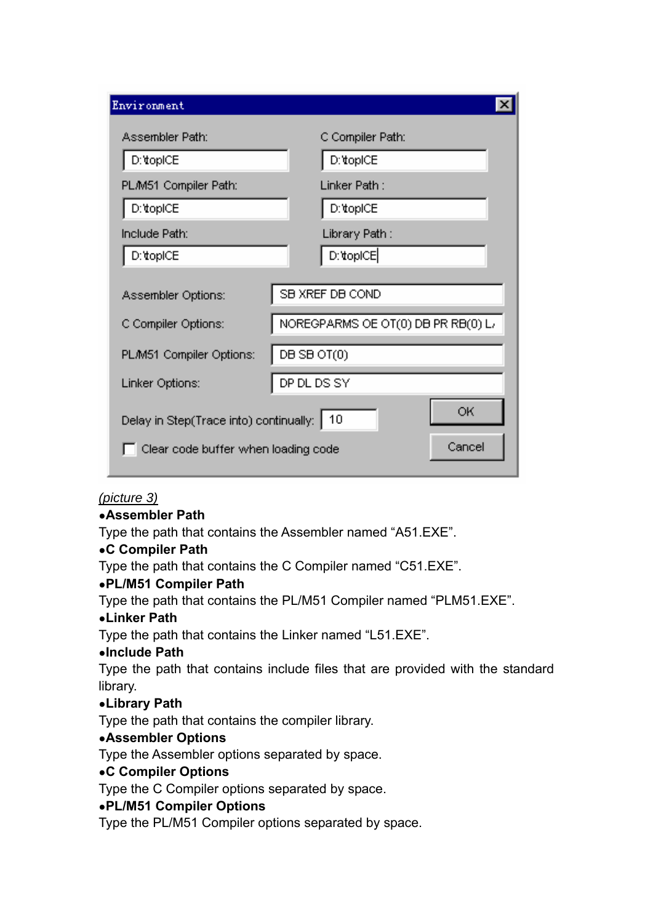| Environment                                                                                         |                                                       |  |  |  |
|-----------------------------------------------------------------------------------------------------|-------------------------------------------------------|--|--|--|
| Assembler Path:                                                                                     | C Compiler Path:                                      |  |  |  |
| D:\topICE                                                                                           | D:\topICE                                             |  |  |  |
| PLM51 Compiler Path:                                                                                | Linker Path :                                         |  |  |  |
| D:\topICE                                                                                           | D:\topICE                                             |  |  |  |
| Include Path:                                                                                       | Library Path :                                        |  |  |  |
| D: topICE                                                                                           | D:\topICE                                             |  |  |  |
| Assembler Options:<br>C Compiler Options:                                                           | SB XREF DB COND<br>NOREGPARMS OE OT(0) DB PR RB(0) L/ |  |  |  |
| PL/M51 Compiler Options:                                                                            | DB SB OT(0)                                           |  |  |  |
| Linker Options:                                                                                     | DP DL DS SY                                           |  |  |  |
| ОK<br>Delay in Step(Trace into) continually:<br>10<br>Cancel<br>Clear code buffer when loading code |                                                       |  |  |  |

### *(picture 3)*

#### ●**Assembler Path**

Type the path that contains the Assembler named "A51.EXE".

### ●**C Compiler Path**

Type the path that contains the C Compiler named "C51.EXE".

### ●**PL/M51 Compiler Path**

Type the path that contains the PL/M51 Compiler named "PLM51.EXE".

#### ●**Linker Path**

Type the path that contains the Linker named "L51.EXE".

#### ●**Include Path**

Type the path that contains include files that are provided with the standard library.

### ●**Library Path**

Type the path that contains the compiler library.

### ●**Assembler Options**

Type the Assembler options separated by space.

#### ●**C Compiler Options**

Type the C Compiler options separated by space.

### ●**PL/M51 Compiler Options**

Type the PL/M51 Compiler options separated by space.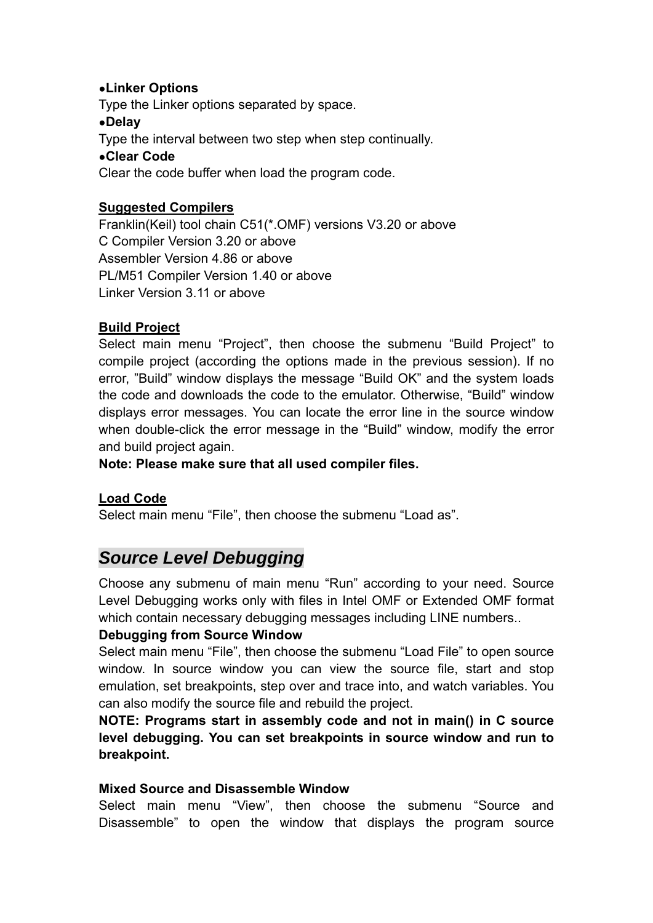### ●**Linker Options**

Type the Linker options separated by space.

### ●**Delay**

Type the interval between two step when step continually.

### ●**Clear Code**

Clear the code buffer when load the program code.

### **Suggested Compilers**

Franklin(Keil) tool chain C51(\*.OMF) versions V3.20 or above C Compiler Version 3.20 or above Assembler Version 4.86 or above PL/M51 Compiler Version 1.40 or above Linker Version 3.11 or above

### **Build Project**

Select main menu "Project", then choose the submenu "Build Project" to compile project (according the options made in the previous session). If no error, "Build" window displays the message "Build OK" and the system loads the code and downloads the code to the emulator. Otherwise, "Build" window displays error messages. You can locate the error line in the source window when double-click the error message in the "Build" window, modify the error and build project again.

**Note: Please make sure that all used compiler files.** 

### **Load Code**

Select main menu "File", then choose the submenu "Load as".

# *Source Level Debugging*

Choose any submenu of main menu "Run" according to your need. Source Level Debugging works only with files in Intel OMF or Extended OMF format which contain necessary debugging messages including LINE numbers..

### **Debugging from Source Window**

Select main menu "File", then choose the submenu "Load File" to open source window. In source window you can view the source file, start and stop emulation, set breakpoints, step over and trace into, and watch variables. You can also modify the source file and rebuild the project.

**NOTE: Programs start in assembly code and not in main() in C source level debugging. You can set breakpoints in source window and run to breakpoint.** 

### **Mixed Source and Disassemble Window**

Select main menu "View", then choose the submenu "Source and Disassemble" to open the window that displays the program source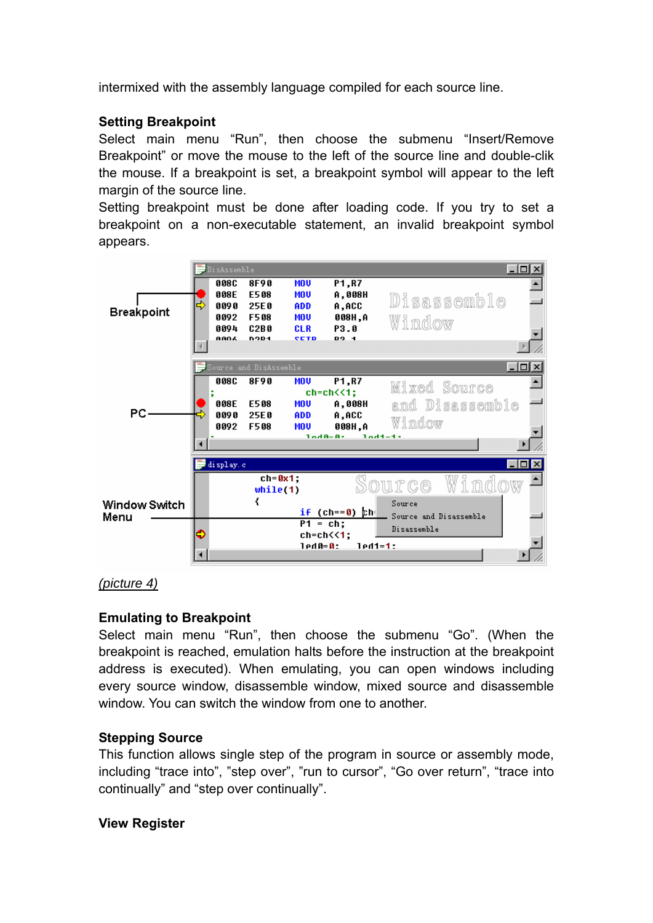intermixed with the assembly language compiled for each source line.

### **Setting Breakpoint**

Select main menu "Run", then choose the submenu "Insert/Remove Breakpoint" or move the mouse to the left of the source line and double-clik the mouse. If a breakpoint is set, a breakpoint symbol will appear to the left margin of the source line.

Setting breakpoint must be done after loading code. If you try to set a breakpoint on a non-executable statement, an invalid breakpoint symbol appears.



#### *(picture 4)*

### **Emulating to Breakpoint**

Select main menu "Run", then choose the submenu "Go". (When the breakpoint is reached, emulation halts before the instruction at the breakpoint address is executed). When emulating, you can open windows including every source window, disassemble window, mixed source and disassemble window. You can switch the window from one to another.

#### **Stepping Source**

This function allows single step of the program in source or assembly mode, including "trace into", "step over", "run to cursor", "Go over return", "trace into continually" and "step over continually".

#### **View Register**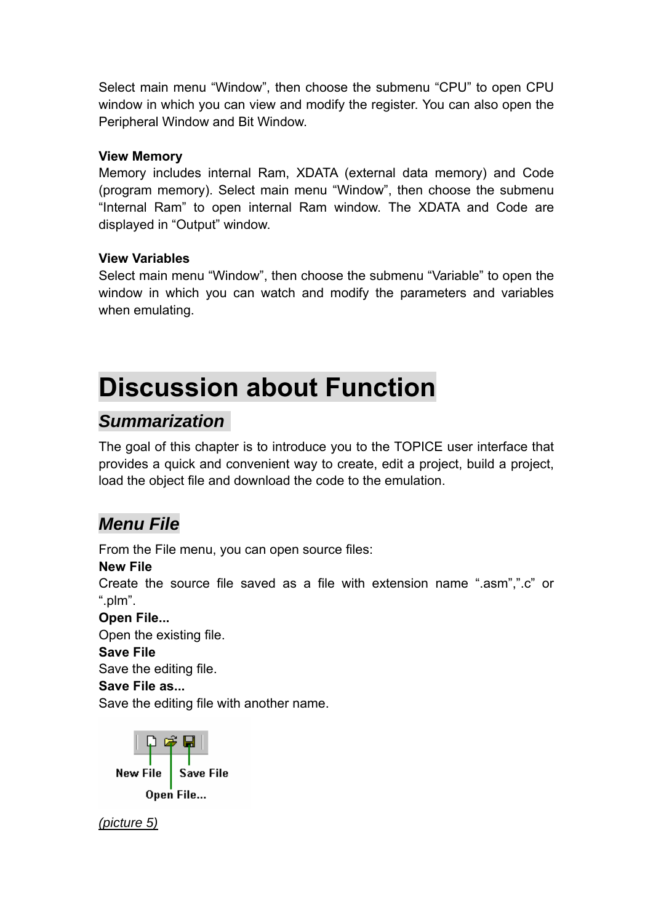Select main menu "Window", then choose the submenu "CPU" to open CPU window in which you can view and modify the register. You can also open the Peripheral Window and Bit Window.

### **View Memory**

Memory includes internal Ram, XDATA (external data memory) and Code (program memory). Select main menu "Window", then choose the submenu "Internal Ram" to open internal Ram window. The XDATA and Code are displayed in "Output" window.

### **View Variables**

Select main menu "Window", then choose the submenu "Variable" to open the window in which you can watch and modify the parameters and variables when emulating.

# **Discussion about Function**

## *Summarization*

The goal of this chapter is to introduce you to the TOPICE user interface that provides a quick and convenient way to create, edit a project, build a project, load the object file and download the code to the emulation.

# *Menu File*

From the File menu, you can open source files:

#### **New File**

Create the source file saved as a file with extension name ".asm",".c" or ".plm".

### **Open File...**

Open the existing file.

### **Save File**

Save the editing file.

#### **Save File as...**

Save the editing file with another name.



*(picture 5)*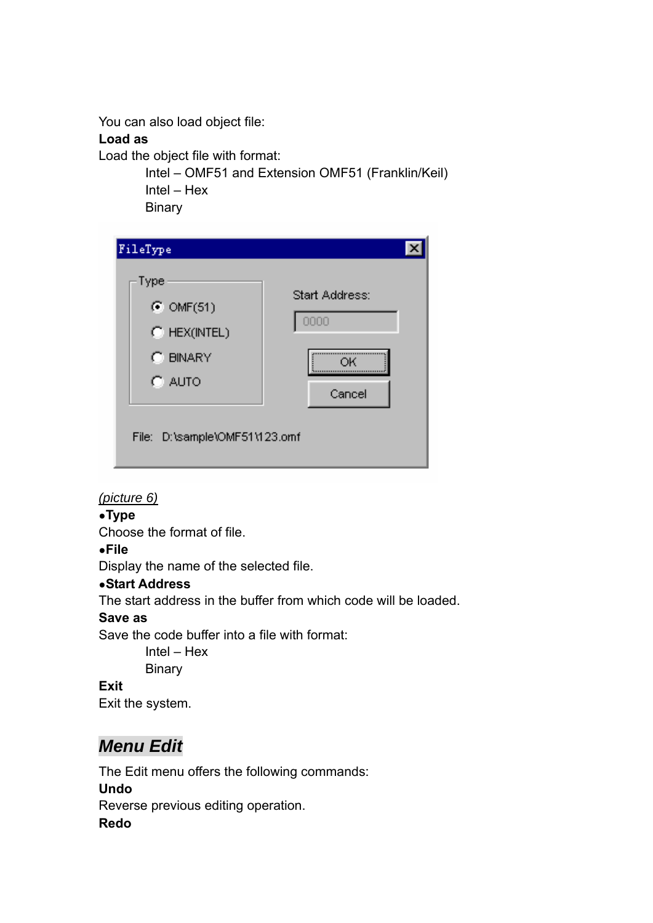You can also load object file:

### **Load as**

Load the object file with format:

 Intel – OMF51 and Extension OMF51 (Franklin/Keil) Intel – Hex

**Binary** 

| FileType                                                                                                   |                                        |
|------------------------------------------------------------------------------------------------------------|----------------------------------------|
| Type<br>$\bullet$ OMF(51)<br>$C$ HEX(INTEL)<br>C BINARY<br>$\degree$ auto<br>File: D:\sample\OMF51\123.omf | Start Address:<br>0000<br>OK<br>Cancel |

### *(picture 6)*

### ●**Type**

Choose the format of file.

### ●**File**

Display the name of the selected file.

### ●**Start Address**

The start address in the buffer from which code will be loaded.

### **Save as**

Save the code buffer into a file with format:

 Intel – Hex **Binary** 

**Exit** Exit the system.

# *Menu Edit*

The Edit menu offers the following commands: **Undo** Reverse previous editing operation. **Redo**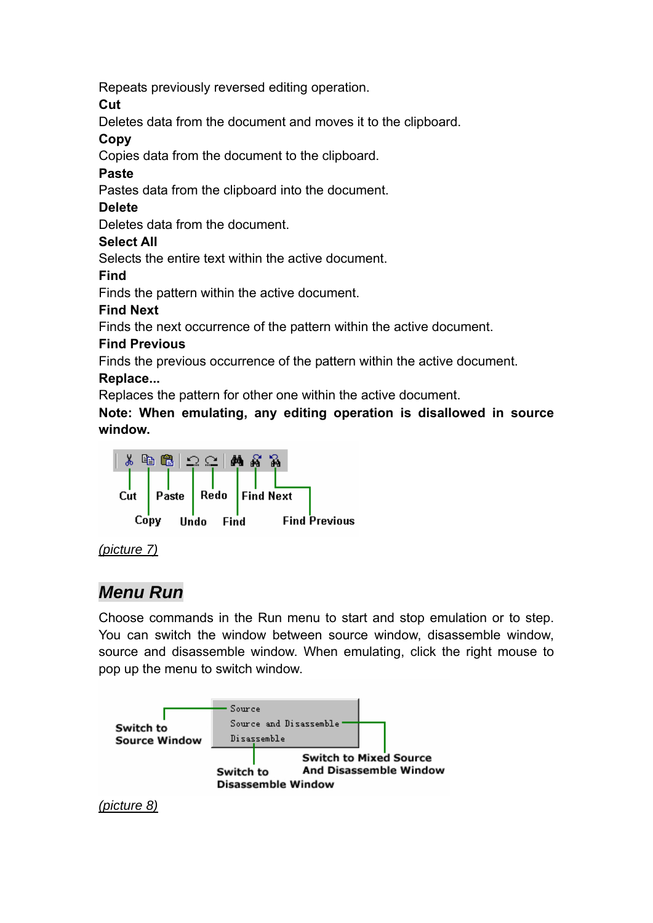Repeats previously reversed editing operation.

**Cut** 

Deletes data from the document and moves it to the clipboard.

### **Copy**

Copies data from the document to the clipboard.

### **Paste**

Pastes data from the clipboard into the document.

### **Delete**

Deletes data from the document.

### **Select All**

Selects the entire text within the active document.

**Find**

Finds the pattern within the active document.

### **Find Next**

Finds the next occurrence of the pattern within the active document.

### **Find Previous**

Finds the previous occurrence of the pattern within the active document.

### **Replace...**

Replaces the pattern for other one within the active document.

**Note: When emulating, any editing operation is disallowed in source window.** 



### *(picture 7)*

# *Menu Run*

Choose commands in the Run menu to start and stop emulation or to step. You can switch the window between source window, disassemble window, source and disassemble window. When emulating, click the right mouse to pop up the menu to switch window.



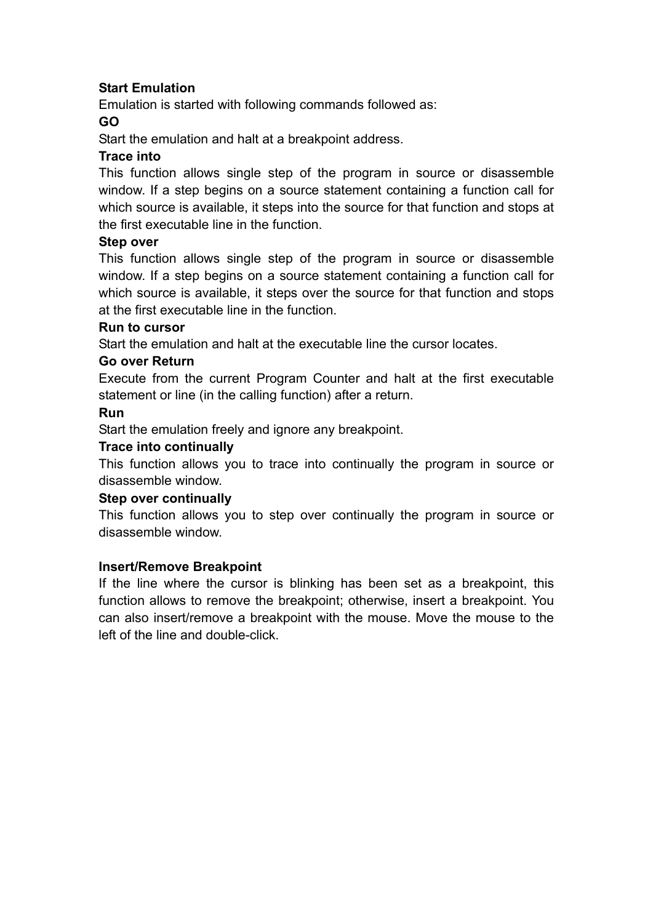### **Start Emulation**

Emulation is started with following commands followed as:

### **GO**

Start the emulation and halt at a breakpoint address.

### **Trace into**

This function allows single step of the program in source or disassemble window. If a step begins on a source statement containing a function call for which source is available, it steps into the source for that function and stops at the first executable line in the function.

#### **Step over**

This function allows single step of the program in source or disassemble window. If a step begins on a source statement containing a function call for which source is available, it steps over the source for that function and stops at the first executable line in the function.

#### **Run to cursor**

Start the emulation and halt at the executable line the cursor locates.

#### **Go over Return**

Execute from the current Program Counter and halt at the first executable statement or line (in the calling function) after a return.

#### **Run**

Start the emulation freely and ignore any breakpoint.

#### **Trace into continually**

This function allows you to trace into continually the program in source or disassemble window.

#### **Step over continually**

This function allows you to step over continually the program in source or disassemble window.

#### **Insert/Remove Breakpoint**

If the line where the cursor is blinking has been set as a breakpoint, this function allows to remove the breakpoint; otherwise, insert a breakpoint. You can also insert/remove a breakpoint with the mouse. Move the mouse to the left of the line and double-click.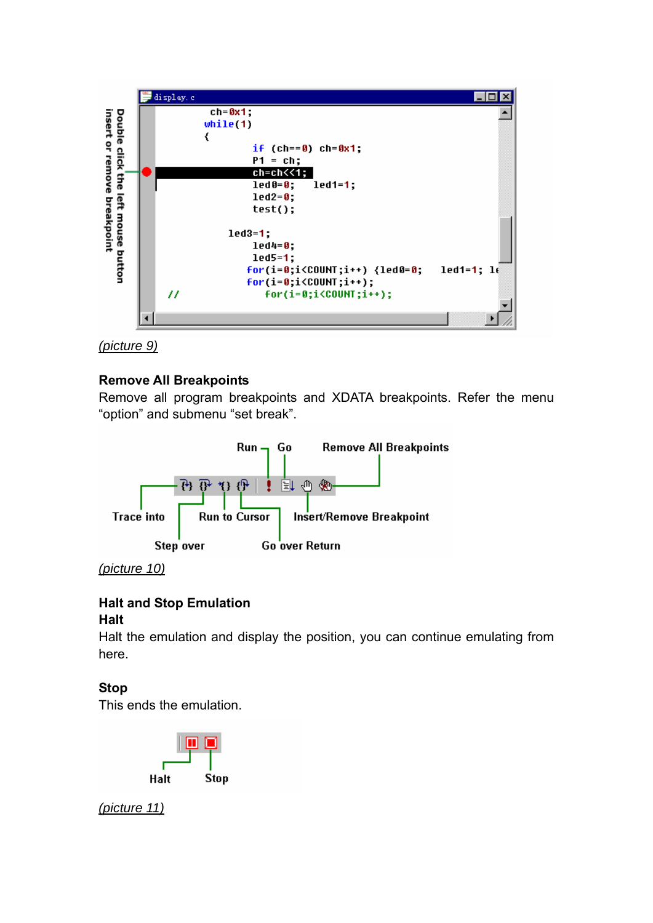



### **Remove All Breakpoints**

Remove all program breakpoints and XDATA breakpoints. Refer the menu "option" and submenu "set break".



*(picture 10)*

### **Halt and Stop Emulation**

#### **Halt**

Halt the emulation and display the position, you can continue emulating from here.

### **Stop**

This ends the emulation.



*(picture 11)*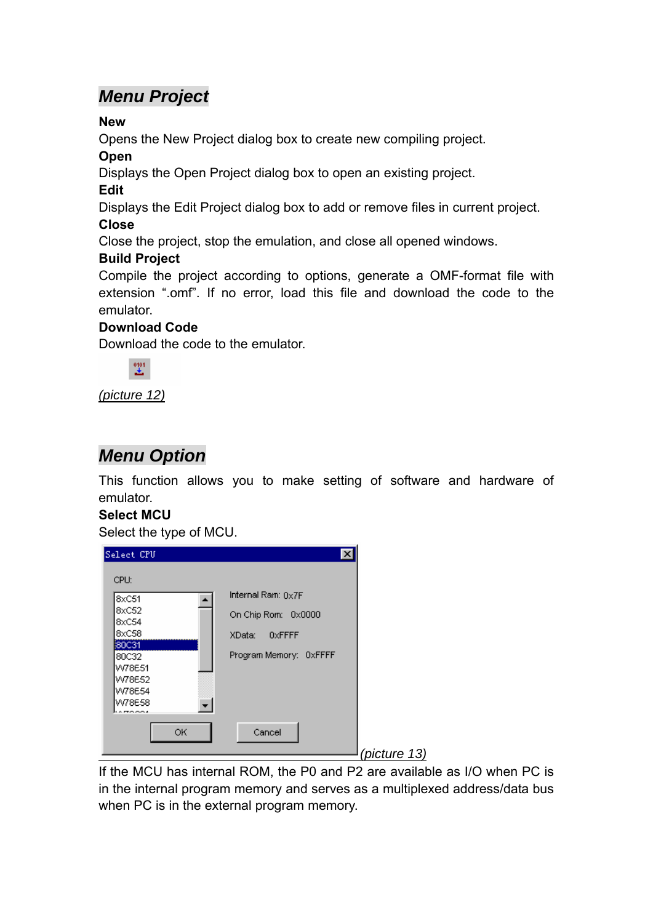# *Menu Project*

### **New**

Opens the New Project dialog box to create new compiling project.

### **Open**

Displays the Open Project dialog box to open an existing project.

### **Edit**

Displays the Edit Project dialog box to add or remove files in current project.

### **Close**

Close the project, stop the emulation, and close all opened windows.

### **Build Project**

Compile the project according to options, generate a OMF-format file with extension ".omf". If no error, load this file and download the code to the emulator.

### **Download Code**

Download the code to the emulator.



*(picture 12)*

# *Menu Option*

This function allows you to make setting of software and hardware of emulator.

### **Select MCU**

Select the type of MCU.

| Select CPU<br>CPU:                                                                                  | $\vert x \vert$                                                                              |              |
|-----------------------------------------------------------------------------------------------------|----------------------------------------------------------------------------------------------|--------------|
| 8xC51<br>8xC52<br>8xC54<br>8xC58<br>80C31<br>80C32<br>W78E51<br>W78E52<br>W78E54<br>W78E58<br>27000 | Internal Ram: $0x7F$<br>On Chip Rom: 0x0000<br>$0x$ FFFF<br>XData:<br>Program Memory: 0xFFFF |              |
| OK                                                                                                  | Cancel                                                                                       | (picture 13) |

If the MCU has internal ROM, the P0 and P2 are available as I/O when PC is in the internal program memory and serves as a multiplexed address/data bus when PC is in the external program memory.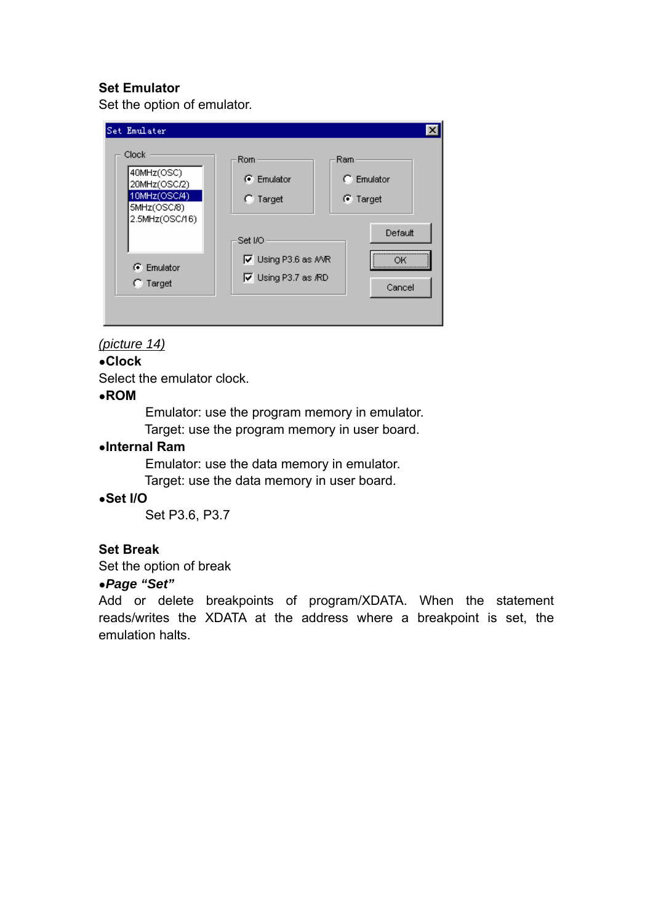### **Set Emulator**

Set the option of emulator.

| Set Emulater                                                                         |                                                          |                                               |
|--------------------------------------------------------------------------------------|----------------------------------------------------------|-----------------------------------------------|
| Clock<br>40MHz(OSC)<br>20MHz(OSC/2)<br>10MHz(OSC/4)<br>5MHz(OSC/8)<br>2.5MHz(OSC/16) | Rom<br>G Emulator<br>$\cap$ Target<br>Set I/O            | Ram<br>$\cap$ Emulator<br>C Target<br>Default |
| $\binom{2}{1}$ Emulator<br>Target                                                    | <b>V</b> Using P3.6 as MVR<br>$\nabla$ Using P3.7 as /RD | <br>∩ĸ<br>Cancel                              |

### *(picture 14)*

●**Clock** 

Select the emulator clock.

#### ●**ROM**

Emulator: use the program memory in emulator.

Target: use the program memory in user board.

### ●**Internal Ram**

 Emulator: use the data memory in emulator. Target: use the data memory in user board.

## ●**Set I/O**

Set P3.6, P3.7

#### **Set Break**

Set the option of break

#### ●*Page "Set"*

Add or delete breakpoints of program/XDATA. When the statement reads/writes the XDATA at the address where a breakpoint is set, the emulation halts.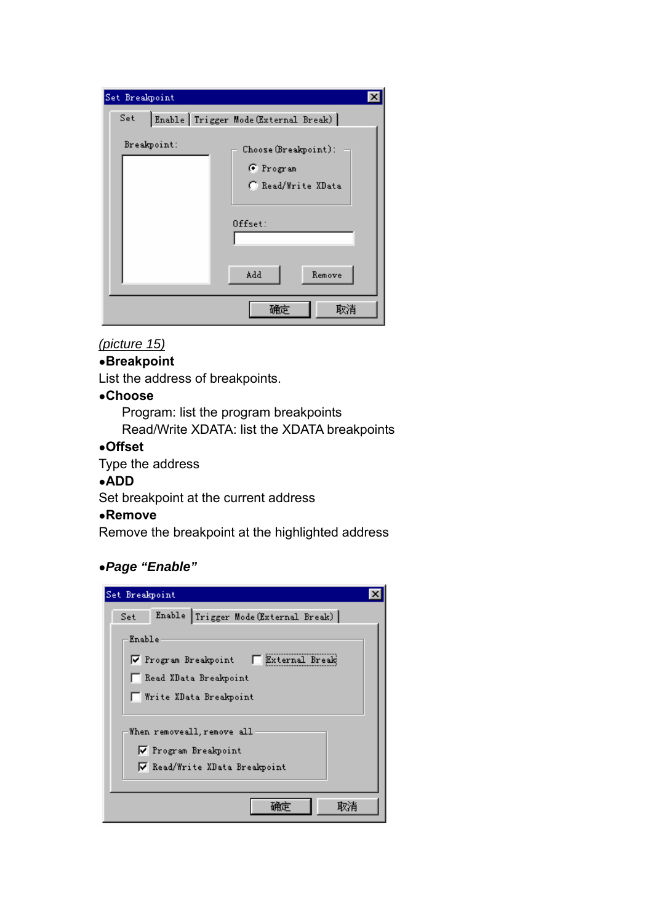| Set Breakpoint                                                                                        |
|-------------------------------------------------------------------------------------------------------|
| Enable Trigger Mode (External Break)<br>Set                                                           |
| Breakpoint:<br>Choose (Breakpoint):<br>G Program<br>C Read/Write XData<br>$0$ ffset:<br>Add<br>Remove |
| 取消<br>确定                                                                                              |

### *(picture 15)*

### ●**Breakpoint**

List the address of breakpoints.

### ●**Choose**

 Program: list the program breakpoints Read/Write XDATA: list the XDATA breakpoints

### ●**Offset**

Type the address

#### ●**ADD**

Set breakpoint at the current address

#### ●**Remove**

Remove the breakpoint at the highlighted address

### ●*Page "Enable"*

| Set Breakpoint                                                                      |  |  |  |  |
|-------------------------------------------------------------------------------------|--|--|--|--|
| Enable Trigger Mode (External Break)<br>Set                                         |  |  |  |  |
| Enable                                                                              |  |  |  |  |
| External Break<br>$\nabla$ Program Breakpoint                                       |  |  |  |  |
| □ Read XData Breakpoint                                                             |  |  |  |  |
| □ Write XData Breakpoint                                                            |  |  |  |  |
| When removeall, remove all<br>▼ Program Breakpoint<br>√ Read/Write XData Breakpoint |  |  |  |  |
|                                                                                     |  |  |  |  |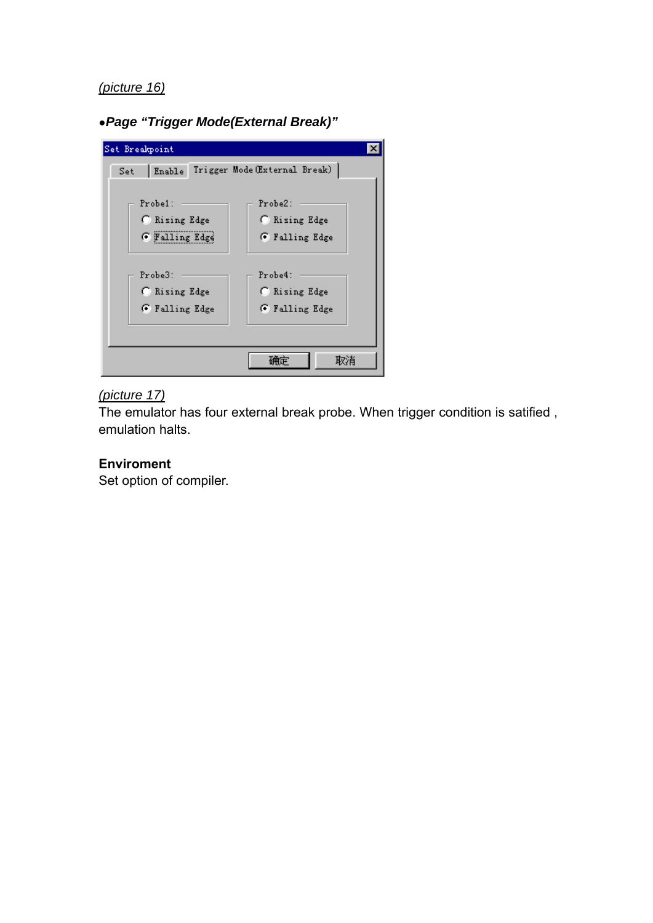### *(picture 16)*

●*Page "Trigger Mode(External Break)"* 

| Set Breakpoint |                                      |
|----------------|--------------------------------------|
| Set            | Enable Trigger Mode (External Break) |
|                |                                      |
| Probe1:        | Probe2:                              |
| C Rising Edge  | C Rising Edge                        |
| G Falling Edge | <b>6</b> Falling Edge                |
|                |                                      |
| Probe3:        | Probe4:                              |
| C Rising Edge  | C Rising Edge                        |
| G Falling Edge | G Falling Edge                       |
|                |                                      |
|                |                                      |
|                | 取消                                   |

# *(picture 17)*

The emulator has four external break probe. When trigger condition is satified , emulation halts.

### **Enviroment**

Set option of compiler.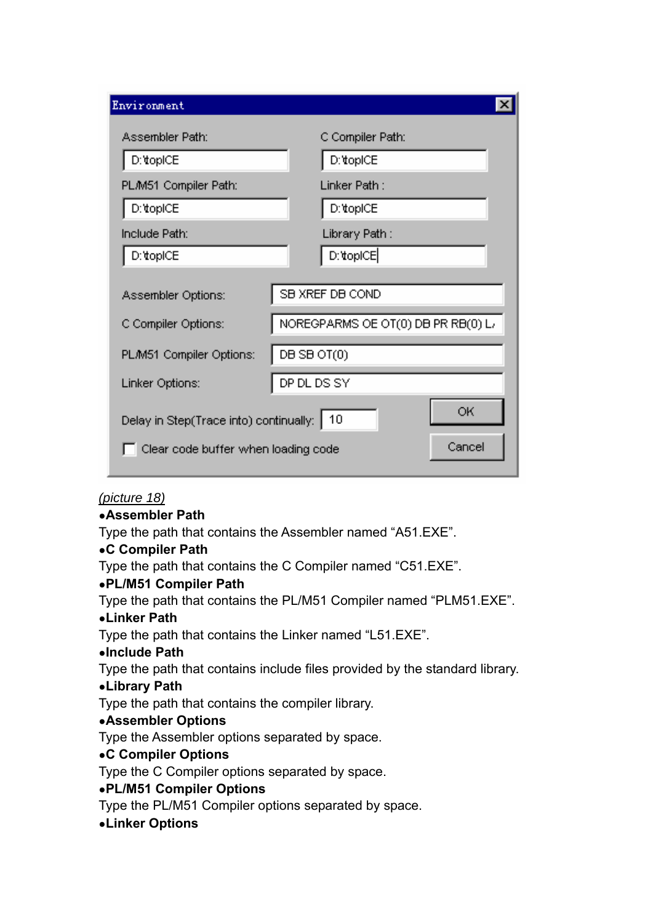| Environment                                                                                         |                                    |  |  |  |
|-----------------------------------------------------------------------------------------------------|------------------------------------|--|--|--|
| Assembler Path:                                                                                     | C Compiler Path:                   |  |  |  |
| D: topICE                                                                                           | D:\topICE                          |  |  |  |
| PLM51 Compiler Path:                                                                                | Linker Path:                       |  |  |  |
| D:\topICE                                                                                           | D:\topICE                          |  |  |  |
| Include Path:                                                                                       | Library Path :                     |  |  |  |
| D: topICE                                                                                           | D:\topICE                          |  |  |  |
| Assembler Options:                                                                                  | SB XREF DB COND                    |  |  |  |
| C Compiler Options:                                                                                 | NOREGPARMS OE OT(0) DB PR RB(0) L/ |  |  |  |
| PL/M51 Compiler Options:                                                                            | DB SB OT(0)                        |  |  |  |
| Linker Options:                                                                                     | DP DL DS SY                        |  |  |  |
| ОK<br>Delay in Step(Trace into) continually:<br>10<br>Cancel<br>Clear code buffer when loading code |                                    |  |  |  |

### *(picture 18)*

### ●**Assembler Path**

Type the path that contains the Assembler named "A51.EXE".

### ●**C Compiler Path**

Type the path that contains the C Compiler named "C51.EXE".

### ●**PL/M51 Compiler Path**

Type the path that contains the PL/M51 Compiler named "PLM51.EXE".

### ●**Linker Path**

Type the path that contains the Linker named "L51.EXE".

### ●**Include Path**

Type the path that contains include files provided by the standard library.

### ●**Library Path**

Type the path that contains the compiler library.

### ●**Assembler Options**

Type the Assembler options separated by space.

### ●**C Compiler Options**

Type the C Compiler options separated by space.

### ●**PL/M51 Compiler Options**

Type the PL/M51 Compiler options separated by space.

### ●**Linker Options**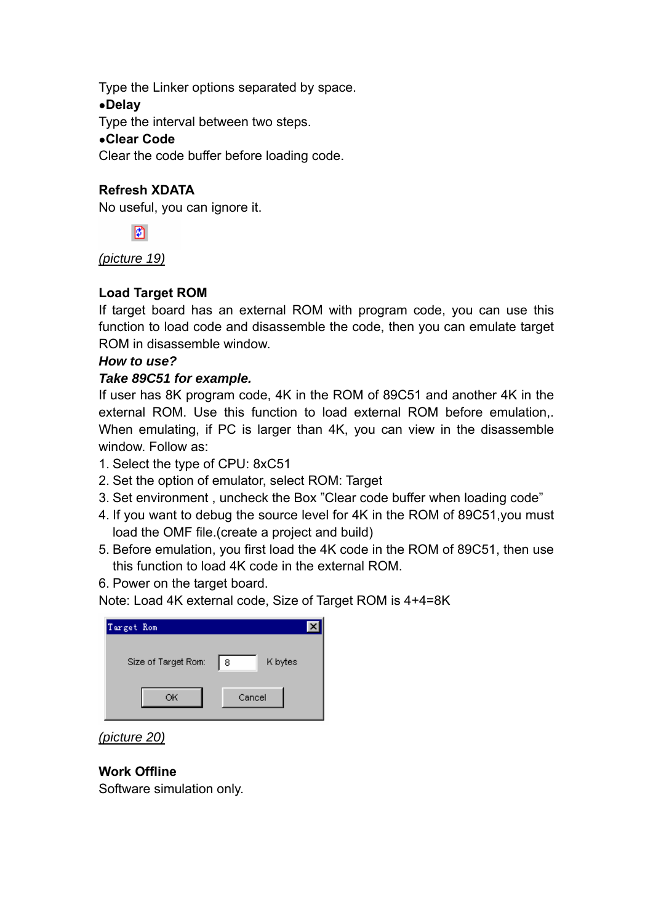Type the Linker options separated by space.

### ●**Delay**

Type the interval between two steps.

### ●**Clear Code**

Clear the code buffer before loading code.

### **Refresh XDATA**

No useful, you can ignore it.



*(picture 19)*

### **Load Target ROM**

If target board has an external ROM with program code, you can use this function to load code and disassemble the code, then you can emulate target ROM in disassemble window.

### *How to use?*

### *Take 89C51 for example.*

If user has 8K program code, 4K in the ROM of 89C51 and another 4K in the external ROM. Use this function to load external ROM before emulation,. When emulating, if PC is larger than 4K, you can view in the disassemble window. Follow as:

- 1. Select the type of CPU: 8xC51
- 2. Set the option of emulator, select ROM: Target
- 3. Set environment , uncheck the Box "Clear code buffer when loading code"
- 4. If you want to debug the source level for 4K in the ROM of 89C51,you must load the OMF file.(create a project and build)
- 5. Before emulation, you first load the 4K code in the ROM of 89C51, then use this function to load 4K code in the external ROM.
- 6. Power on the target board.

Note: Load 4K external code, Size of Target ROM is 4+4=8K

| Target Rom          |              |
|---------------------|--------------|
| Size of Target Rom: | K bytes<br>8 |
| ОК                  | Cancel       |

*(picture 20)*

### **Work Offline**

Software simulation only.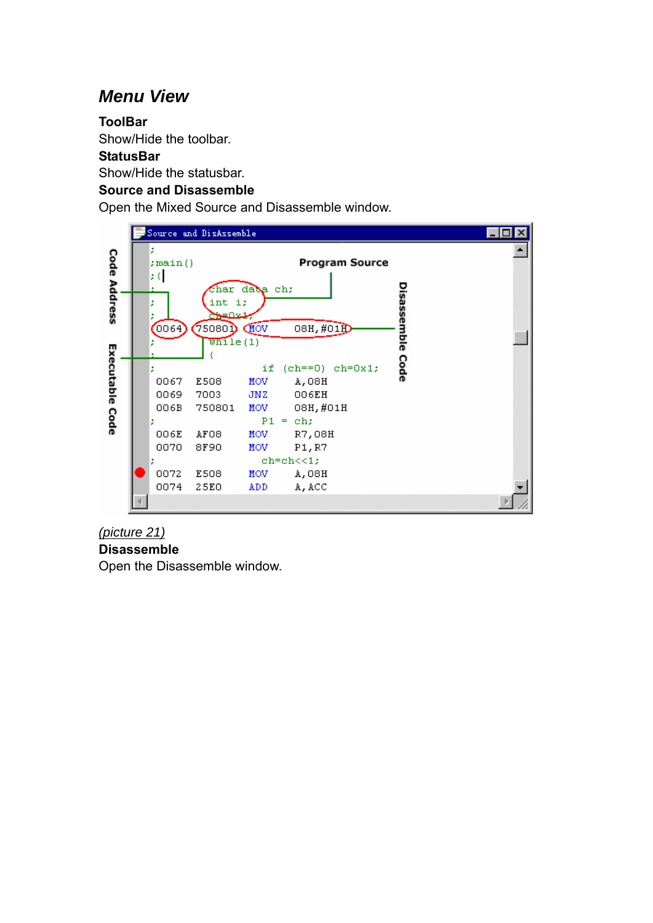# *Menu View*

### **ToolBar**

Show/Hide the toolbar.

#### **StatusBar**

Show/Hide the statusbar.

### **Source and Disassemble**

Open the Mixed Source and Disassemble window.



### *(picture 21)*

**Disassemble** 

Open the Disassemble window.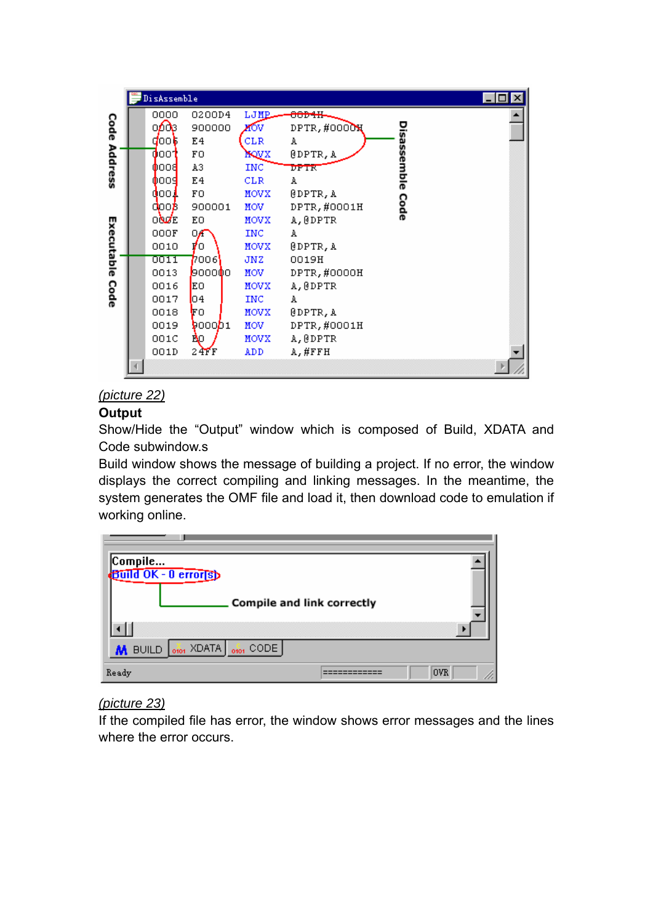|            | DisAssemble  |            |             |                  |            |  |
|------------|--------------|------------|-------------|------------------|------------|--|
|            | 0000         | 0200D4     | LJMP        | <del>80D41</del> |            |  |
| Code       | ക്ക          | 900000     | ибv         | DPTR, #0000X     |            |  |
|            | dook.        | E4         | CLR         | A                |            |  |
| Address    | doot         | FO         | MQVX        | @DPTR, A         | isassemble |  |
|            | <b>OOOS</b>  | A3         | INC.        | DPTR             |            |  |
|            | 0009         | E4         | <b>CLR</b>  | A                |            |  |
|            | 000 L        | FO.        | MOVX        | @DPTR, A         |            |  |
|            | doob         | 900001     | MOV.        | DPTR, #0001H     | Code       |  |
|            | 0 <b>NZE</b> | EО         | <b>MOVX</b> | A, @DPTR         |            |  |
| Executable | 000F         | 0,6        | <b>INC</b>  | A                |            |  |
|            | 0010         | ۴о         | MOVX        | @DPTR, A         |            |  |
|            | 0011         | 7006       | JNZ.        | 0019H            |            |  |
|            | 0013         | ,000000    | MOV.        | DPTR, #0000H     |            |  |
| Code       | 0016         | EO         | MOVX        | A, @DPTR         |            |  |
|            | 0017         | 04         | <b>INC</b>  | A                |            |  |
|            | 0018         | ŀго        | MOVX        | <b>@DPTR, A</b>  |            |  |
|            | 0019         | 9000D1     | MOV.        | DPTR, #0001H     |            |  |
|            | 001C         | ĎΦ.        | MOVX        | A, @DPTR         |            |  |
|            | 001D         | $24$ $F$ F | <b>ADD</b>  | A,#FFH           |            |  |
|            |              |            |             |                  |            |  |

### *(picture 22)*

### **Output**

Show/Hide the "Output" window which is composed of Build, XDATA and Code subwindow.s

Build window shows the message of building a project. If no error, the window displays the correct compiling and linking messages. In the meantime, the system generates the OMF file and load it, then download code to emulation if working online.

| Compile<br>Build OK - 0 error(s) |                            |  |
|----------------------------------|----------------------------|--|
|                                  | Compile and link correctly |  |
|                                  |                            |  |
| M BUILD 0101 XDATA 0101 CODE     |                            |  |
| Ready                            | 0VR                        |  |

### *(picture 23)*

If the compiled file has error, the window shows error messages and the lines where the error occurs.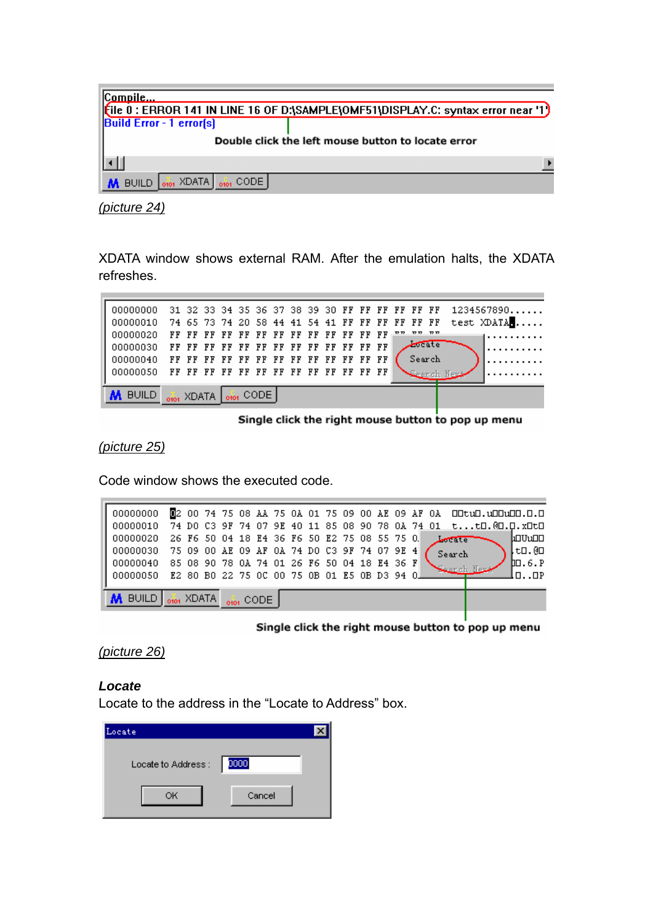| Compile                         |                                                                                    |
|---------------------------------|------------------------------------------------------------------------------------|
|                                 | [tile 0 : ERROR 141 IN LINE 16 OF D:\SAMPLE\OMF51\DISPLAY.C: syntax error near '1) |
| <b>Build Error - 1 error(s)</b> |                                                                                    |
|                                 | Double click the left mouse button to locate error                                 |
|                                 |                                                                                    |
| BUILD 0101 XDATA 0101 CODE      |                                                                                    |

*(picture 24)*

XDATA window shows external RAM. After the emulation halts, the XDATA refreshes.

|                                                           |  |  |  |  |  |  |                      | 00000000 31 32 33 34 35 36 37 38 39 30 FF FF FF FF FF FF 1234567890 |
|-----------------------------------------------------------|--|--|--|--|--|--|----------------------|---------------------------------------------------------------------|
|                                                           |  |  |  |  |  |  |                      | 00000010 74 65 73 74 20 58 44 41 54 41 FF FF FF FF FF FF test XDATA |
|                                                           |  |  |  |  |  |  |                      | 1 <b>.</b> .                                                        |
|                                                           |  |  |  |  |  |  | $\sqrt{\frac{1}{2}}$ |                                                                     |
|                                                           |  |  |  |  |  |  |                      |                                                                     |
|                                                           |  |  |  |  |  |  |                      |                                                                     |
| <b>M</b> BUILD $\frac{1}{600}$ XDATA $\frac{1}{600}$ CODE |  |  |  |  |  |  |                      |                                                                     |

Single click the right mouse button to pop up menu

*(picture 25)*

Code window shows the executed code.

| 00000000 02 00 74 75 08 AA 75 0A 01 75 09 00 AE 09 AF 0A DDtuD.uDDuDD.D.D    |  |  |  |  |  |  |  |  |              |  |                   |
|------------------------------------------------------------------------------|--|--|--|--|--|--|--|--|--------------|--|-------------------|
| 00000010  74 DO C3 9F 74 07 9E 40 11 85 08 90 78 0A 74 01  tt□.@□.¤⊥t□       |  |  |  |  |  |  |  |  |              |  |                   |
| 00000020  26 F6 50 04 18 E4 36 F6 50 E2 75 08 55 75 O                        |  |  |  |  |  |  |  |  | <b>Lette</b> |  | ևՕՄսՕՕ            |
| $\parallel$ 00000030 75 09 00 AE 09 AF 0A 74 DO C3 9F 74 07 9E 4 $\parallel$ |  |  |  |  |  |  |  |  | Search       |  | ↓to.@o            |
| 00000040   85 08 90 78 0A 74 01 26 F6 50 04 18 E4 36 F                       |  |  |  |  |  |  |  |  |              |  | $\mathbf{D}$ .6.P |
| H 00000050   E2 80 B0 22 75 0C 00 75 0B 01 E5 0B D3 94 OH                    |  |  |  |  |  |  |  |  |              |  | lnnp              |
|                                                                              |  |  |  |  |  |  |  |  |              |  |                   |
| M BUILD of XDATA of CODE                                                     |  |  |  |  |  |  |  |  |              |  |                   |
|                                                                              |  |  |  |  |  |  |  |  |              |  |                   |

Single click the right mouse button to pop up menu

*(picture 26)*

#### *Locate*

Locate to the address in the "Locate to Address" box.

| Locate             |        |  |
|--------------------|--------|--|
| Locate to Address: | 0000   |  |
| ОК                 | Cancel |  |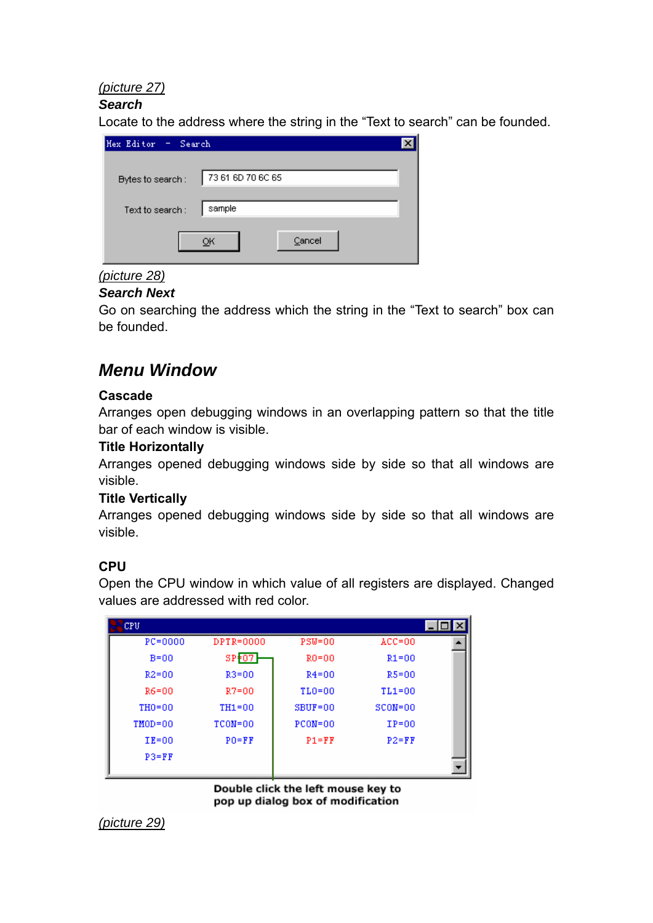### *(picture 27)*

### *Search*

Locate to the address where the string in the "Text to search" can be founded.

| Hex Editor - Search |                   |  |
|---------------------|-------------------|--|
| Bytes to search:    | 73 61 6D 70 6C 65 |  |
| Text to search:     | sample            |  |
|                     | Cancel            |  |

# *(picture 28)*

#### *Search Next*

Go on searching the address which the string in the "Text to search" box can be founded.

# *Menu Window*

#### **Cascade**

Arranges open debugging windows in an overlapping pattern so that the title bar of each window is visible.

### **Title Horizontally**

Arranges opened debugging windows side by side so that all windows are visible.

#### **Title Vertically**

Arranges opened debugging windows side by side so that all windows are visible.

### **CPU**

Open the CPU window in which value of all registers are displayed. Changed values are addressed with red color.

| CPU.        |             |             |             |  |
|-------------|-------------|-------------|-------------|--|
| $PC = 0000$ | DPTR=0000   | $PSW=00$    | $ACC = 00$  |  |
| $B=00$      | $SP+07$     | $RO = 00$   | $R1 = 00$   |  |
| $R2 = 00$   | $R3 = 00$   | $R4 = 00$   | $R5 = 00$   |  |
| R6=00       | $R7 = 00$   | $TLO=00$    | $TL1=00$    |  |
| $TH0=00$    | $TH1=00$    | $SBUF=00$   | $SCON = 00$ |  |
| $TMOD = 00$ | $TCON = 00$ | $PCON = 00$ | $IP=00$     |  |
| $IE=00$     | $PO = FF$   | $P1 = FF$   | $P2 = FF$   |  |
| $P3 = FF$   |             |             |             |  |
|             |             |             |             |  |

Double click the left mouse key to pop up dialog box of modification

*(picture 29)*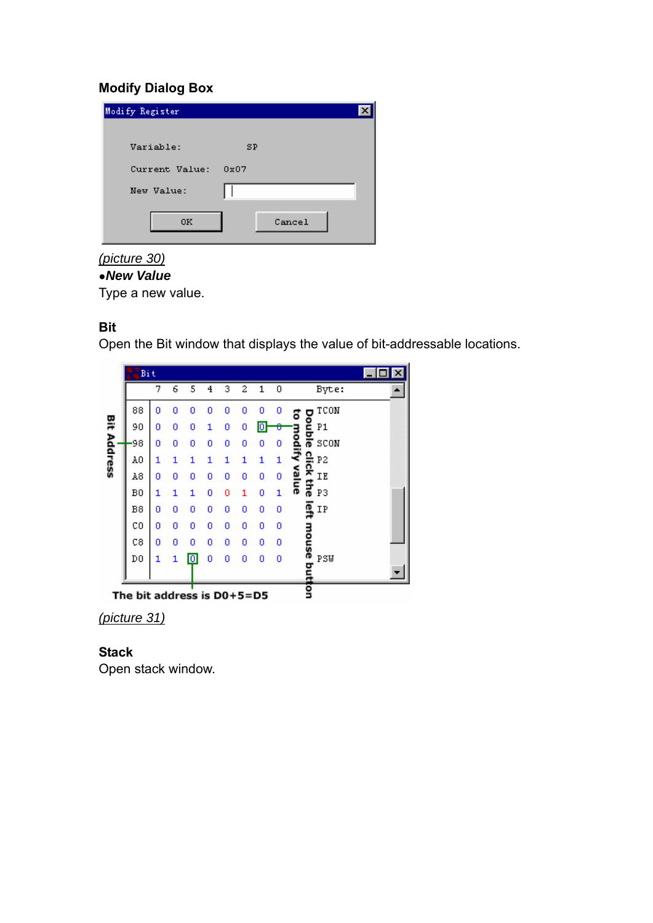### **Modify Dialog Box**

| Modify Register |        |
|-----------------|--------|
| Variable:       | SP     |
| Current Value:  | 0x07   |
| New Value:      |        |
| 0K              | Cancel |

### *(picture 30)*

### ●*New Value*

Type a new value.

### **Bit**

Open the Bit window that displays the value of bit-addressable locations.



*(picture 31)*

### **Stack**

Open stack window.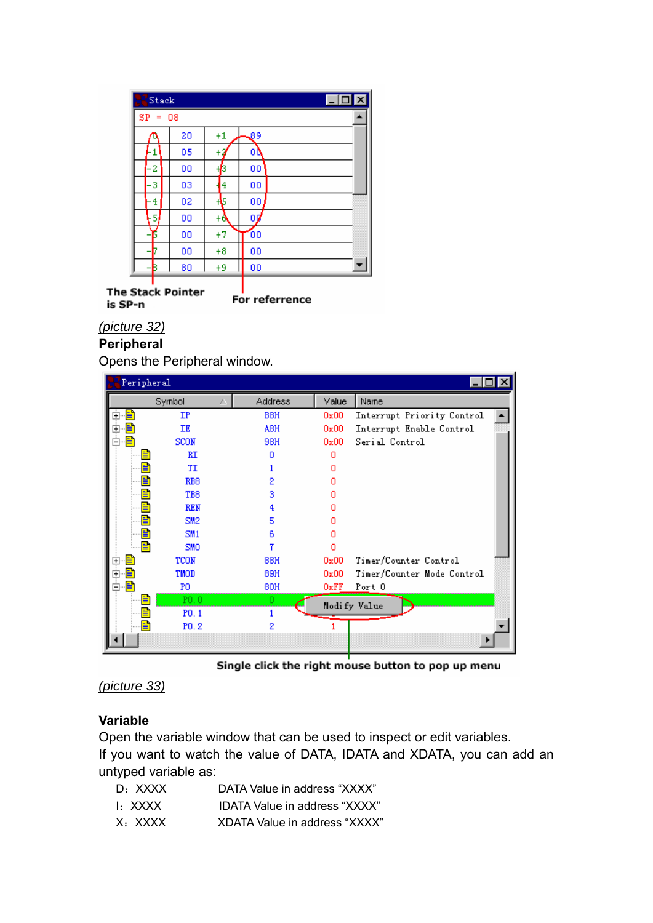| $\Box$ o $\Box$ |    |      |                 | Stack     |
|-----------------|----|------|-----------------|-----------|
|                 |    |      |                 | $SP = 08$ |
|                 | وی | $+1$ | 20              |           |
|                 | 00 | ٠    | 05              |           |
|                 | 00 | 6    | 00              | 2         |
|                 | 00 | 4    | 03              | 3         |
|                 | 00 | 45   | 02              | 4         |
|                 | Οÿ | +θ   | 00              | 5         |
|                 | 00 | $+7$ | 00              |           |
|                 | 00 | $+8$ | 00              |           |
|                 | 00 | +9   | 80              |           |
|                 |    |      | e Stack Pointer |           |

**The** For referrence is SP-n

### *(picture 32)*

### **Peripheral**

Opens the Peripheral window.

| Peripheral                    |                  |                  |       |                            |
|-------------------------------|------------------|------------------|-------|----------------------------|
|                               | Symbol           | <b>Address</b>   | Value | Name                       |
| ≣<br>$\overline{\phantom{a}}$ | IP               | B <sub>8</sub> H | 0x00  | Interrupt Priority Control |
| ஈ                             | ΙE               | A8H              | 0x00  | Interrupt Enable Control   |
|                               | <b>SCON</b>      | 98H              | 0x00  | Serial Control             |
| E                             | RI               | n                | n     |                            |
| E                             | TI               |                  | n     |                            |
| Ë                             | RB <sub>8</sub>  | 2                | n     |                            |
|                               | T <sub>B</sub> 8 | 3                | п     |                            |
|                               | <b>REN</b>       |                  | п     |                            |
|                               | SM <sub>2</sub>  | 5                | п     |                            |
| ≡                             | SM <sub>1</sub>  | 6                | Ω     |                            |
|                               | <b>SMO</b>       |                  | n     |                            |
|                               | TCON             | <b>88H</b>       | 0x00  | Timer/Counter Control      |
|                               | TMOD             | 89H              | 0x00  | Timer/Counter Mode Control |
|                               | PO.              | <b>80H</b>       | 0xFF  | Port 0                     |
| E                             | P0.0             | O.               |       | Modify Value               |
| Eì                            | P0.1             |                  |       |                            |
|                               | P <sub>0.2</sub> | 2                |       |                            |
|                               |                  |                  |       |                            |

Single click the right mouse button to pop up menu

```
(picture 33)
```
### **Variable**

Open the variable window that can be used to inspect or edit variables. If you want to watch the value of DATA, IDATA and XDATA, you can add an untyped variable as:

- D: XXXX DATA Value in address "XXXX"
- I: XXXX IDATA Value in address "XXXX"
- X: XXXX XDATA Value in address "XXXX"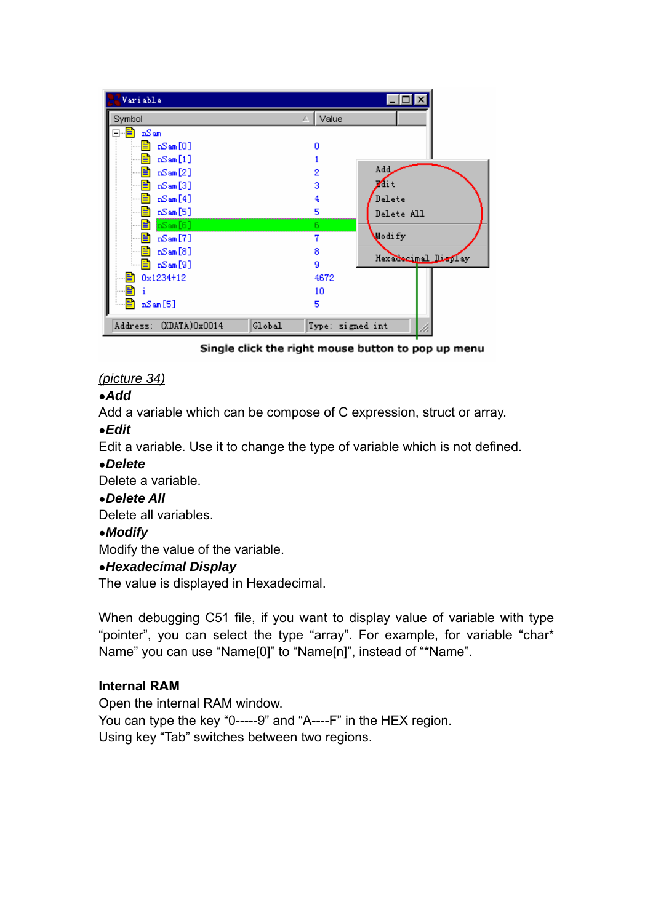| Variable                         |                          |
|----------------------------------|--------------------------|
| Symbol                           | Value                    |
| nSam<br>≣                        |                          |
| $nS$ am $[0]$                    | Ω                        |
| nSam[1]                          |                          |
| $nS$ am $[2]$                    | Add_<br>2                |
| nSam[3]<br>≣                     | $\sqrt{ }$ it<br>3       |
| ≣<br>$nS$ am $[4]$               | Delete<br>4              |
| $nS$ am $[5]$<br>E               | 5<br>Delete All          |
| Eı<br>$nS$ am $[6]$              | 6.                       |
| $nS$ am $[7]$<br>Ħ               | odi fy<br>7              |
| $nS$ am $[8]$<br>≣               | 8                        |
| $nS$ am $[9]$                    | Hexaborinal Display<br>9 |
| 0x1234+12<br>≣                   | 4672                     |
| Ħ                                | 10                       |
| 眉<br>$nS$ am $[5]$               | 5                        |
| Address: (XDATA)0x0014<br>Global | Type: signed int         |

Single click the right mouse button to pop up menu

### *(picture 34)*

### ●*Add*

Add a variable which can be compose of C expression, struct or array.

### ●*Edit*

Edit a variable. Use it to change the type of variable which is not defined.

### ●*Delete*

Delete a variable.

### ●*Delete All*

Delete all variables.

### ●*Modify*

Modify the value of the variable.

### ●*Hexadecimal Display*

The value is displayed in Hexadecimal.

When debugging C51 file, if you want to display value of variable with type "pointer", you can select the type "array". For example, for variable "char\* Name" you can use "Name[0]" to "Name[n]", instead of "\*Name".

### **Internal RAM**

Open the internal RAM window. You can type the key "0-----9" and "A----F" in the HEX region. Using key "Tab" switches between two regions.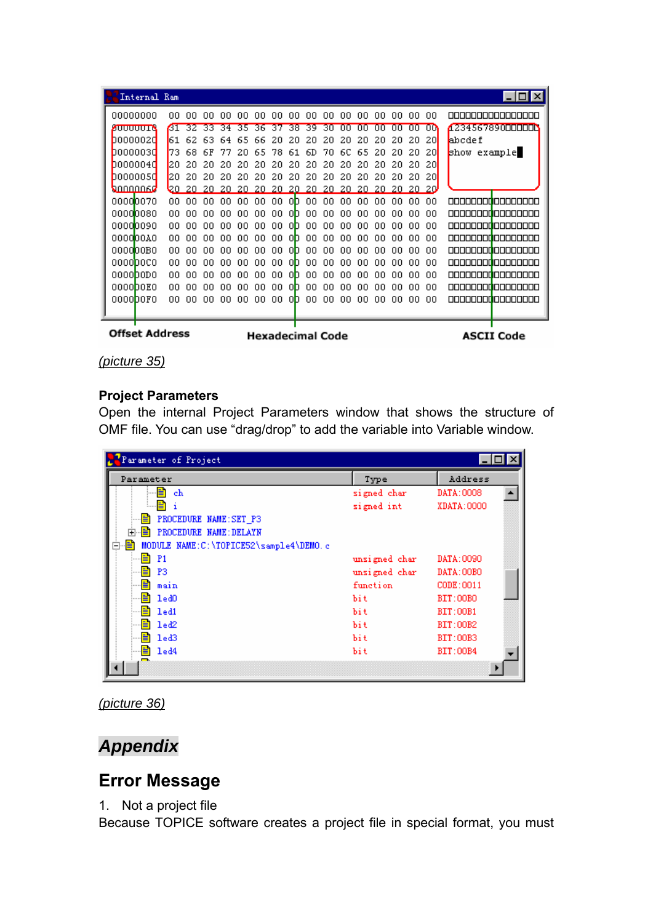|                         | Internal Ram |     |     |     |     |     |     |     |      |                         |      |     |     |     |     |     |       |              | $\Box$ o $\mathbf{X}$     |
|-------------------------|--------------|-----|-----|-----|-----|-----|-----|-----|------|-------------------------|------|-----|-----|-----|-----|-----|-------|--------------|---------------------------|
| 00000000                |              | nn  |     | nn  | nn  | nn  | nn  | .nn | .nn  | nn                      | .nn  | .nn | nn. | .nn | .nn | .nn | 00    |              | nnnnnnnnnnnnnn            |
| <b>ZUUUUUTR</b>         |              | 61  | 32  | 33  | 34  | 35  | 36  | 37  | 38   | 39                      | 30   | mm  | m   | nn  | nn  | m   | ۵O    |              | 1234567890000000          |
| 00000020                |              | 161 | 62  | 63. | 64  | 65  | 66  | 20. | 20   | 20                      | 20   | 20  | 20  | 20  | 20  | 20  | 20    | abcde f      |                           |
| 00000030                |              | 73  | 68  | 6F  | 77  | 20  | 65  | 78  | 61   | 6D                      | 70   | 6C  | 65  | 20  | 20  | 20  | 20    | show example |                           |
| D000004d                |              | 120 | 20  | 20  | 20  | 20  | 20  | 20  | 20.  | 20                      | 20   | 20  | 20  | 20  | 20  | 20  | 20    |              |                           |
| 0000005d                |              | 20  | 20  | 20  | 20. | 2Ω  | 20  | 20  | 20.  | 20                      | 20   | 20  | 20  | 20  | 20  | 20  | 20    |              |                           |
| <b>A</b> nnnnns         |              | vn. | 20. | 20. | 20. | 20. | 20. | 20. | -20- | 20.                     | -20. | 20. | 20. | 20. | 20. |     | 20 20 |              |                           |
| 00000070                |              | ΩO  | nn  | nn  | nn  | nn  | 00  | 00  | 0D.  | 00.                     | -00  | 00  | nn  | nn  | nn  | 99. | 00    |              | 00000000 <b>0</b> 0000000 |
| 00000080                |              | nn  |     | nn  | nn  | nn  | ΩO  | nn. | nh.  | nn                      | 00   | nn  | nn  | nn  | nn  | nn  | 00    |              | 00000000 <b>0</b> 0000000 |
| 00000090                |              | nn  | nn  | n۵  | nn  | nn  | n۵  | 00  | nh.  | nn                      | .nn  | 00  | nn  | nn  | nn  | nn  | n۵    |              | <u>nnnnnnnnnnnnnnnn</u>   |
| 000000A0                |              | nn  |     | nn  | nn  | nn  | nn  | nn  | nn.  | nn                      | nn   | ΩO  | nn  | nn  | nn  | nn  | ΩO    |              | <u>ooooooo joooooooo</u>  |
| 0000 <mark>00B0</mark>  |              | ΩO  | nn  | nn  | nn  | nn  | nn  | ΩO  | nn.  | ΩO                      | nn   | ΩO  | nn  | nn  | nn  | nn. | .nn   |              | 00000000 <b>0</b> 0000000 |
| 0000 <mark>0</mark> 0C0 |              | ΩO  | nn  | ۵O  | nn  | nn  | 00  | 00. | 0D.  | 00                      | 00   | ۵O  | ۵O  | ۵O  | ΩO  | 00. | ۵O    |              | 00000000 <b>0</b> 0000000 |
| 0000 <b>0</b> 0D0       |              | nn  |     | nn  | nn  | nn  | 00  | nn. | nn.  | nn                      | .nn  | nn  | nn  | nn  | nn  | nn  | 00    |              | 00000000 <b>0</b> 0000000 |
| 0000 <mark>00E0</mark>  |              | nn  | nn  | nn  | nn  | nn  | nn  | 00  | nh.  | 00                      | nn   | nn  | nn  | nn  | nn  | nn  | 00    |              | <u>oooooooo aanoooo</u>   |
| 0000 <b>D</b> 0F0       |              | nn  | nn  | n۵  | nn  | nn  | nn  | 00  | nh   | nn                      | 00   | nn  | nn  | nn  | nn  | nn  | 00    |              | <u>oonaanadaanaana</u>    |
|                         |              |     |     |     |     |     |     |     |      |                         |      |     |     |     |     |     |       |              |                           |
|                         |              |     |     |     |     |     |     |     |      |                         |      |     |     |     |     |     |       |              |                           |
| <b>Offset Address</b>   |              |     |     |     |     |     |     |     |      | <b>Hexadecimal Code</b> |      |     |     |     |     |     |       |              | <b>ASCII Code</b>         |

*(picture 35)*

### **Project Parameters**

Open the internal Project Parameters window that shows the structure of OMF file. You can use "drag/drop" to add the variable into Variable window.

| Parameter of Project                         |               |                 |
|----------------------------------------------|---------------|-----------------|
| Parameter                                    | Type          | Address         |
| ch                                           | signed char   | DATA: 0008      |
| E<br>÷                                       | signed int    | XDATA: 0000     |
| ËI<br>PROCEDURE NAME: SET_P3                 |               |                 |
| <b>E</b> PROCEDURE NAME: DELAYN              |               |                 |
| MODULE NAME: C:\TOPICE52\sample4\DEMO.c<br>≣ |               |                 |
| $\equiv$ P1                                  | unsigned char | DATA: 0090      |
| P <sub>3</sub><br>Ħ                          | unsigned char | DATA: 00BO      |
| 自<br>main                                    | function      | CODE: 0011      |
| 1 <sub>e</sub> d0<br>≡า                      | bi t          | <b>BIT:00BO</b> |
| led1<br>≣1                                   | bit.          | <b>BIT:00B1</b> |
| led <sub>2</sub><br>ET                       | bit.          | BIT:00B2        |
| led3                                         | bit.          | <b>BIT:00B3</b> |
| led4<br>自                                    | bit.          | <b>BIT:00B4</b> |
|                                              |               |                 |



# *Appendix*

# **Error Message**

1. Not a project file

Because TOPICE software creates a project file in special format, you must